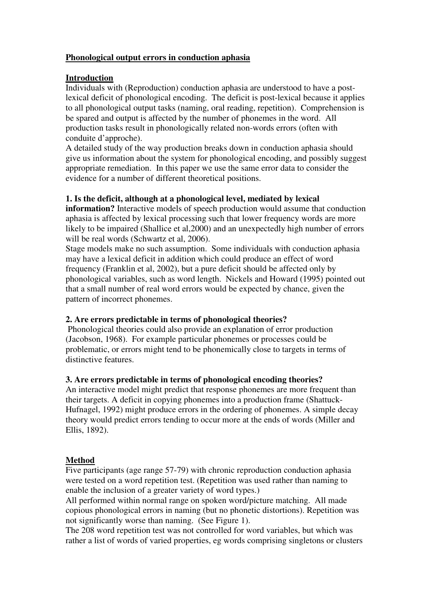#### **Phonological output errors in conduction aphasia**

#### **Introduction**

Individuals with (Reproduction) conduction aphasia are understood to have a postlexical deficit of phonological encoding. The deficit is post-lexical because it applies to all phonological output tasks (naming, oral reading, repetition). Comprehension is be spared and output is affected by the number of phonemes in the word. All production tasks result in phonologically related non-words errors (often with conduite d'approche).

A detailed study of the way production breaks down in conduction aphasia should give us information about the system for phonological encoding, and possibly suggest appropriate remediation. In this paper we use the same error data to consider the evidence for a number of different theoretical positions.

#### **1. Is the deficit, although at a phonological level, mediated by lexical**

**information?** Interactive models of speech production would assume that conduction aphasia is affected by lexical processing such that lower frequency words are more likely to be impaired (Shallice et al,2000) and an unexpectedly high number of errors will be real words (Schwartz et al, 2006).

Stage models make no such assumption. Some individuals with conduction aphasia may have a lexical deficit in addition which could produce an effect of word frequency (Franklin et al, 2002), but a pure deficit should be affected only by phonological variables, such as word length. Nickels and Howard (1995) pointed out that a small number of real word errors would be expected by chance, given the pattern of incorrect phonemes.

# **2. Are errors predictable in terms of phonological theories?**

 Phonological theories could also provide an explanation of error production (Jacobson, 1968). For example particular phonemes or processes could be problematic, or errors might tend to be phonemically close to targets in terms of distinctive features.

# **3. Are errors predictable in terms of phonological encoding theories?**

An interactive model might predict that response phonemes are more frequent than their targets. A deficit in copying phonemes into a production frame (Shattuck-Hufnagel, 1992) might produce errors in the ordering of phonemes. A simple decay theory would predict errors tending to occur more at the ends of words (Miller and Ellis, 1892).

# **Method**

Five participants (age range 57-79) with chronic reproduction conduction aphasia were tested on a word repetition test. (Repetition was used rather than naming to enable the inclusion of a greater variety of word types.)

All performed within normal range on spoken word/picture matching. All made copious phonological errors in naming (but no phonetic distortions). Repetition was not significantly worse than naming. (See Figure 1).

The 208 word repetition test was not controlled for word variables, but which was rather a list of words of varied properties, eg words comprising singletons or clusters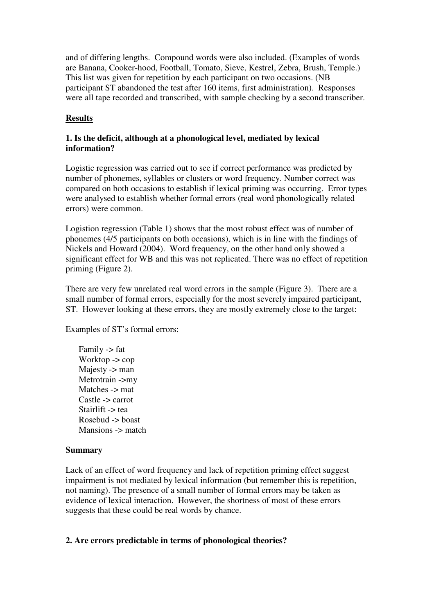and of differing lengths. Compound words were also included. (Examples of words are Banana, Cooker-hood, Football, Tomato, Sieve, Kestrel, Zebra, Brush, Temple.) This list was given for repetition by each participant on two occasions. (NB participant ST abandoned the test after 160 items, first administration). Responses were all tape recorded and transcribed, with sample checking by a second transcriber.

# **Results**

# **1. Is the deficit, although at a phonological level, mediated by lexical information?**

Logistic regression was carried out to see if correct performance was predicted by number of phonemes, syllables or clusters or word frequency. Number correct was compared on both occasions to establish if lexical priming was occurring. Error types were analysed to establish whether formal errors (real word phonologically related errors) were common.

Logistion regression (Table 1) shows that the most robust effect was of number of phonemes (4/5 participants on both occasions), which is in line with the findings of Nickels and Howard (2004). Word frequency, on the other hand only showed a significant effect for WB and this was not replicated. There was no effect of repetition priming (Figure 2).

There are very few unrelated real word errors in the sample (Figure 3). There are a small number of formal errors, especially for the most severely impaired participant, ST. However looking at these errors, they are mostly extremely close to the target:

Examples of ST's formal errors:

Family -> fat Worktop -> cop Majesty -> man Metrotrain ->my Matches -> mat Castle -> carrot Stairlift -> tea Rosebud -> boast Mansions  $\rightarrow$  match

# **Summary**

Lack of an effect of word frequency and lack of repetition priming effect suggest impairment is not mediated by lexical information (but remember this is repetition, not naming). The presence of a small number of formal errors may be taken as evidence of lexical interaction. However, the shortness of most of these errors suggests that these could be real words by chance.

# **2. Are errors predictable in terms of phonological theories?**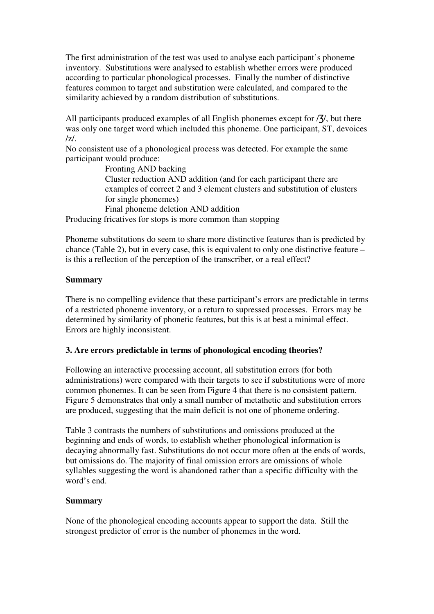The first administration of the test was used to analyse each participant's phoneme inventory. Substitutions were analysed to establish whether errors were produced according to particular phonological processes. Finally the number of distinctive features common to target and substitution were calculated, and compared to the similarity achieved by a random distribution of substitutions.

All participants produced examples of all English phonemes except for  $\frac{7}{7}$ , but there was only one target word which included this phoneme. One participant, ST, devoices /z/.

No consistent use of a phonological process was detected. For example the same participant would produce:

Fronting AND backing Cluster reduction AND addition (and for each participant there are examples of correct 2 and 3 element clusters and substitution of clusters for single phonemes) Final phoneme deletion AND addition

Producing fricatives for stops is more common than stopping

Phoneme substitutions do seem to share more distinctive features than is predicted by chance (Table 2), but in every case, this is equivalent to only one distinctive feature – is this a reflection of the perception of the transcriber, or a real effect?

#### **Summary**

There is no compelling evidence that these participant's errors are predictable in terms of a restricted phoneme inventory, or a return to supressed processes. Errors may be determined by similarity of phonetic features, but this is at best a minimal effect. Errors are highly inconsistent.

#### **3. Are errors predictable in terms of phonological encoding theories?**

Following an interactive processing account, all substitution errors (for both administrations) were compared with their targets to see if substitutions were of more common phonemes. It can be seen from Figure 4 that there is no consistent pattern. Figure 5 demonstrates that only a small number of metathetic and substitution errors are produced, suggesting that the main deficit is not one of phoneme ordering.

Table 3 contrasts the numbers of substitutions and omissions produced at the beginning and ends of words, to establish whether phonological information is decaying abnormally fast. Substitutions do not occur more often at the ends of words, but omissions do. The majority of final omission errors are omissions of whole syllables suggesting the word is abandoned rather than a specific difficulty with the word's end.

#### **Summary**

None of the phonological encoding accounts appear to support the data. Still the strongest predictor of error is the number of phonemes in the word.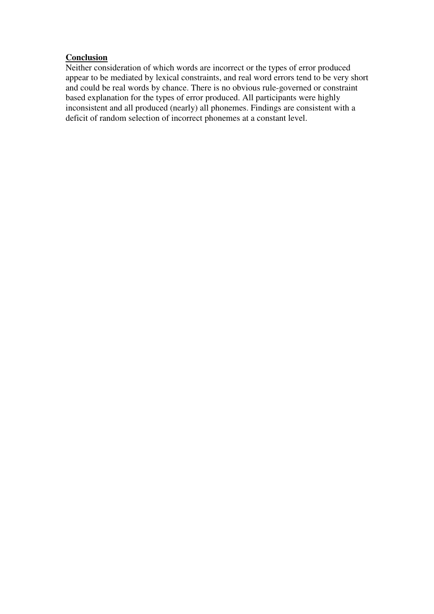# **Conclusion**

Neither consideration of which words are incorrect or the types of error produced appear to be mediated by lexical constraints, and real word errors tend to be very short and could be real words by chance. There is no obvious rule-governed or constraint based explanation for the types of error produced. All participants were highly inconsistent and all produced (nearly) all phonemes. Findings are consistent with a deficit of random selection of incorrect phonemes at a constant level.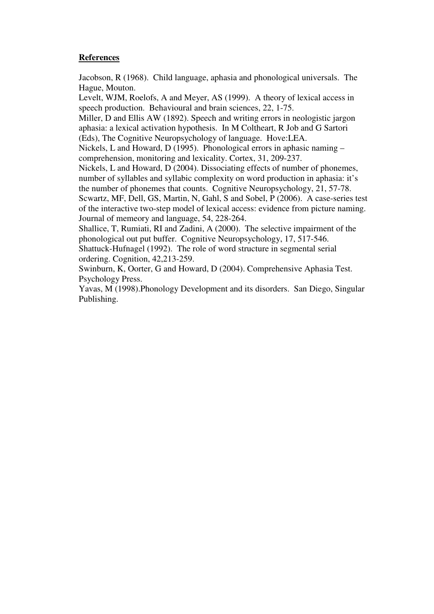#### **References**

Jacobson, R (1968). Child language, aphasia and phonological universals. The Hague, Mouton.

Levelt, WJM, Roelofs, A and Meyer, AS (1999). A theory of lexical access in speech production. Behavioural and brain sciences, 22, 1-75.

Miller, D and Ellis AW (1892). Speech and writing errors in neologistic jargon aphasia: a lexical activation hypothesis. In M Coltheart, R Job and G Sartori (Eds), The Cognitive Neuropsychology of language. Hove:LEA.

Nickels, L and Howard, D (1995). Phonological errors in aphasic naming – comprehension, monitoring and lexicality. Cortex, 31, 209-237.

Nickels, L and Howard, D (2004). Dissociating effects of number of phonemes, number of syllables and syllabic complexity on word production in aphasia: it's the number of phonemes that counts. Cognitive Neuropsychology, 21, 57-78.

Scwartz, MF, Dell, GS, Martin, N, Gahl, S and Sobel, P (2006). A case-series test of the interactive two-step model of lexical access: evidence from picture naming. Journal of memeory and language, 54, 228-264.

Shallice, T, Rumiati, RI and Zadini, A (2000). The selective impairment of the phonological out put buffer. Cognitive Neuropsychology, 17, 517-546.

Shattuck-Hufnagel (1992). The role of word structure in segmental serial ordering. Cognition, 42,213-259.

Swinburn, K, Oorter, G and Howard, D (2004). Comprehensive Aphasia Test. Psychology Press.

Yavas, M (1998).Phonology Development and its disorders. San Diego, Singular Publishing.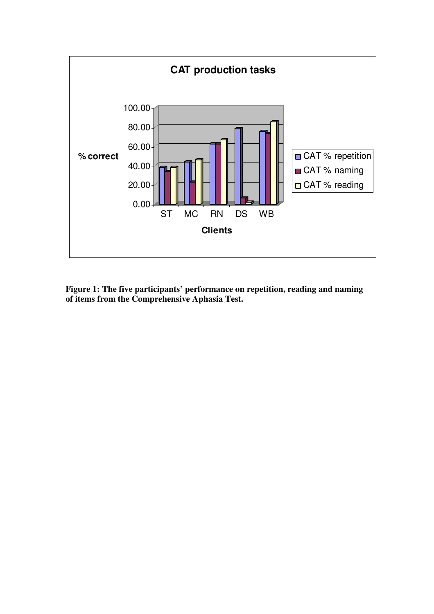

**Figure 1: The five participants' performance on repetition, reading and naming of items from the Comprehensive Aphasia Test.**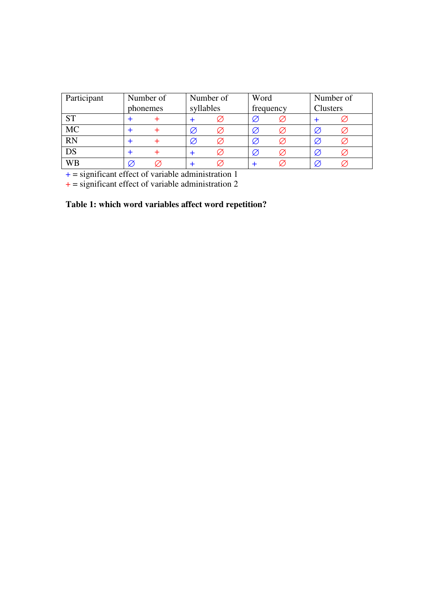| Participant | Number of |  | Number of |   | Word      |  | Number of       |  |
|-------------|-----------|--|-----------|---|-----------|--|-----------------|--|
|             | phonemes  |  | syllables |   | frequency |  | <b>Clusters</b> |  |
| <b>ST</b>   |           |  |           |   | Ø         |  |                 |  |
| <b>MC</b>   |           |  |           | Ø | Ø         |  |                 |  |
| <b>RN</b>   |           |  |           | Ø | Ø         |  |                 |  |
| DS          |           |  |           |   | Ø         |  |                 |  |
| WΒ          |           |  |           |   |           |  |                 |  |

 $+$  = significant effect of variable administration 1

 $+$  = significant effect of variable administration 2

# **Table 1: which word variables affect word repetition?**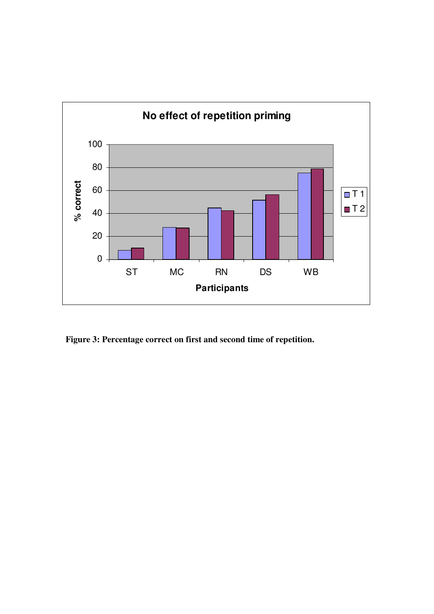

**Figure 3: Percentage correct on first and second time of repetition.**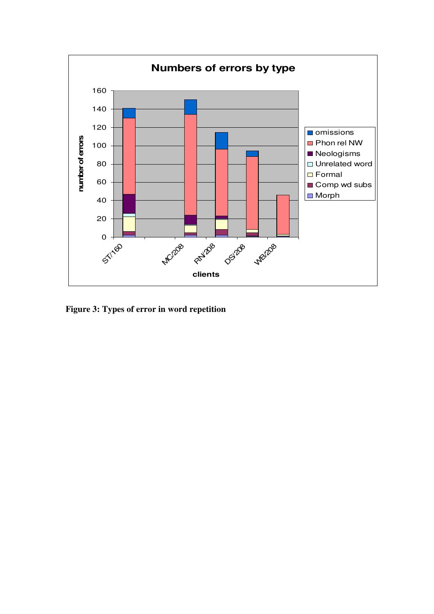

**Figure 3: Types of error in word repetition**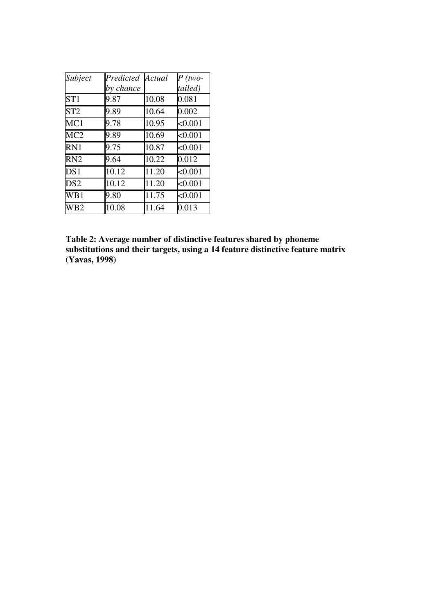| Subject         | Predicted | Actual | $P$ (two- |
|-----------------|-----------|--------|-----------|
|                 | by chance |        | tailed)   |
| ST1             | 9.87      | 10.08  | 0.081     |
| ST <sub>2</sub> | 9.89      | 10.64  | 0.002     |
| MC1             | 9.78      | 10.95  | < 0.001   |
| MC <sub>2</sub> | 9.89      | 10.69  | < 0.001   |
| RN <sub>1</sub> | 9.75      | 10.87  | < 0.001   |
| RN <sub>2</sub> | 9.64      | 10.22  | 0.012     |
| DS1             | 10.12     | 11.20  | < 0.001   |
| DS <sub>2</sub> | 10.12     | 11.20  | < 0.001   |
| WB1             | 9.80      | 11.75  | < 0.001   |
| WB <sub>2</sub> | 10.08     | 11.64  | 0.013     |

**Table 2: Average number of distinctive features shared by phoneme substitutions and their targets, using a 14 feature distinctive feature matrix (Yavas, 1998)**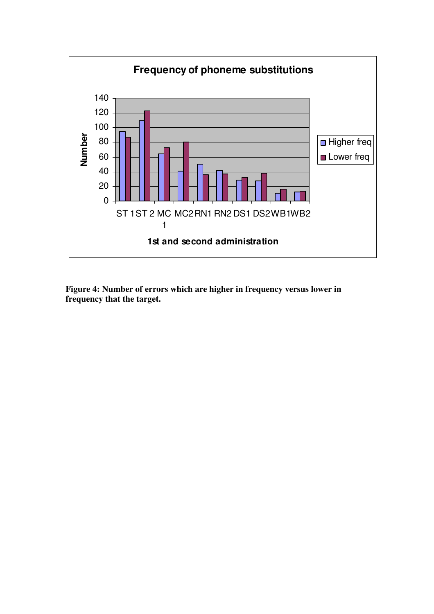

**Figure 4: Number of errors which are higher in frequency versus lower in frequency that the target.**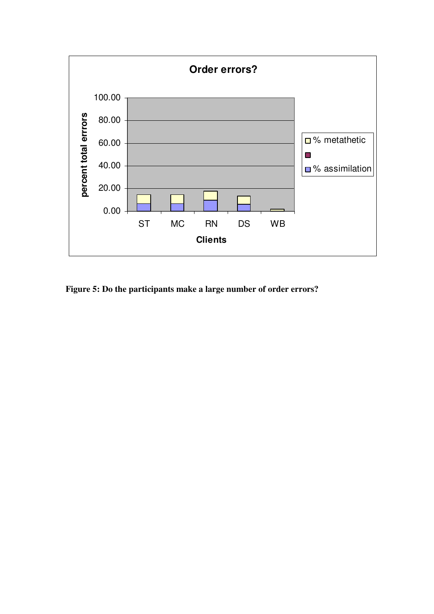

**Figure 5: Do the participants make a large number of order errors?**